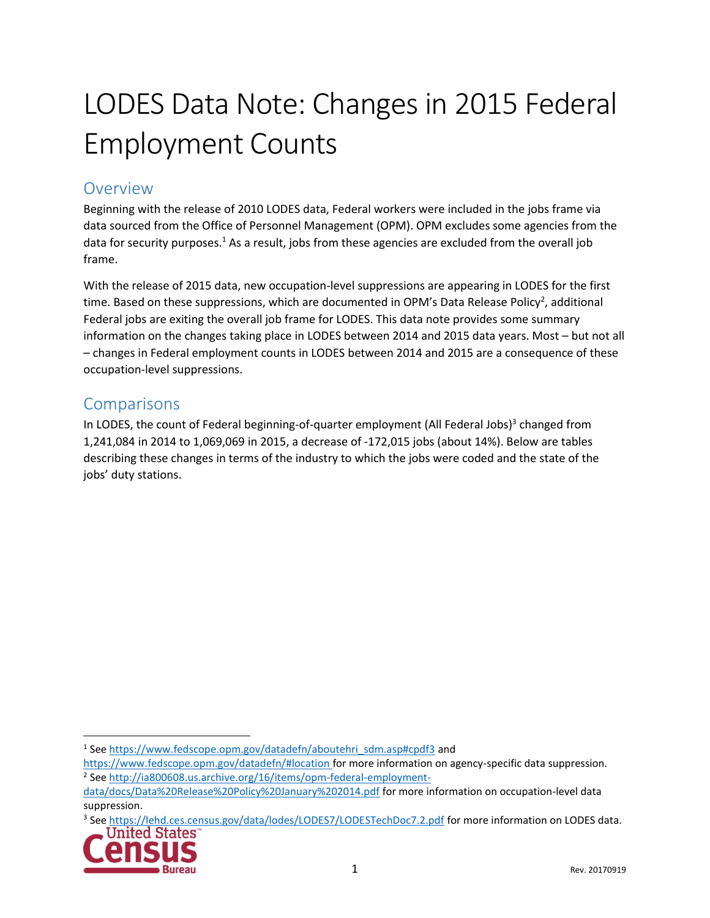# LODES Data Note: Changes in 2015 Federal Employment Counts

### Overview

Beginning with the release of 2010 LODES data, Federal workers were included in the jobs frame via data sourced from the Office of Personnel Management (OPM). OPM excludes some agencies from the data for security purposes.<sup>1</sup> As a result, jobs from these agencies are excluded from the overall job frame.

With the release of 2015 data, new occupation-level suppressions are appearing in LODES for the first time. Based on these suppressions, which are documented in OPM's Data Release Policy<sup>2</sup>, additional Federal jobs are exiting the overall job frame for LODES. This data note provides some summary information on the changes taking place in LODES between 2014 and 2015 data years. Most – but not all – changes in Federal employment counts in LODES between 2014 and 2015 are a consequence of these occupation-level suppressions.

### **Comparisons**

In LODES, the count of Federal beginning-of-quarter employment (All Federal Jobs)<sup>3</sup> changed from 1,241,084 in 2014 to 1,069,069 in 2015, a decrease of -172,015 jobs (about 14%). Below are tables describing these changes in terms of the industry to which the jobs were coded and the state of the jobs' duty stations.

<sup>&</sup>lt;sup>3</sup> See<https://lehd.ces.census.gov/data/lodes/LODES7/LODESTechDoc7.2.pdf> for more information on LODES data. United States



 $\overline{a}$ 

<sup>&</sup>lt;sup>1</sup> See [https://www.fedscope.opm.gov/datadefn/aboutehri\\_sdm.asp#cpdf3](https://www.fedscope.opm.gov/datadefn/aboutehri_sdm.asp#cpdf3) and

<https://www.fedscope.opm.gov/datadefn/#location> for more information on agency-specific data suppression. <sup>2</sup> See [http://ia800608.us.archive.org/16/items/opm-federal-employment-](http://ia800608.us.archive.org/16/items/opm-federal-employment-data/docs/Data%20Release%20Policy%20January%202014.pdf)

[data/docs/Data%20Release%20Policy%20January%202014.pdf](http://ia800608.us.archive.org/16/items/opm-federal-employment-data/docs/Data%20Release%20Policy%20January%202014.pdf) for more information on occupation-level data suppression.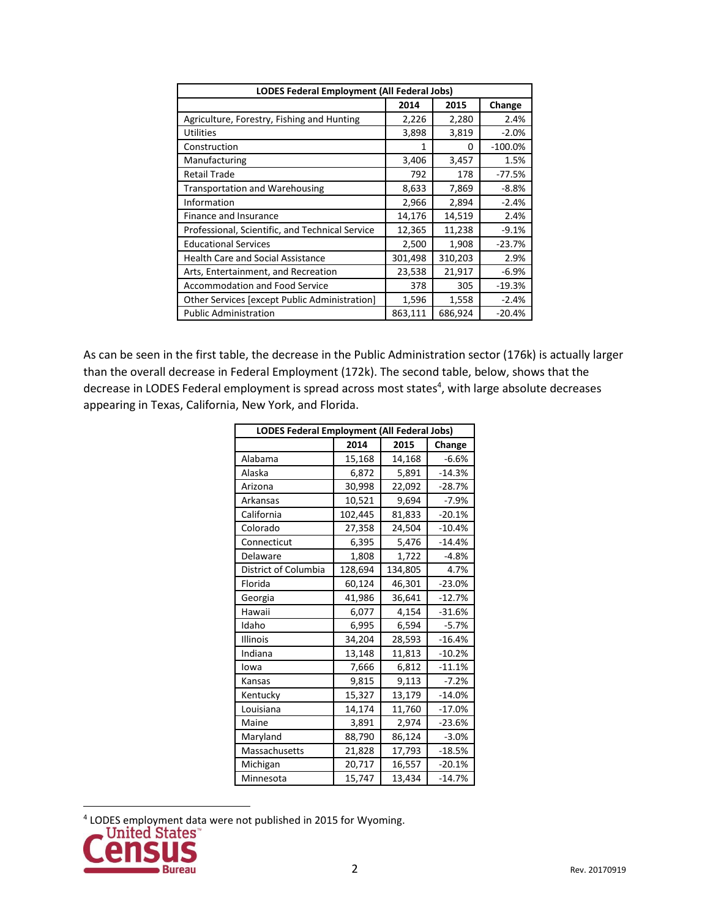| <b>LODES Federal Employment (All Federal Jobs)</b> |         |         |           |  |  |
|----------------------------------------------------|---------|---------|-----------|--|--|
|                                                    | 2014    | 2015    | Change    |  |  |
| Agriculture, Forestry, Fishing and Hunting         | 2,226   | 2,280   | 2.4%      |  |  |
| <b>Utilities</b>                                   | 3,898   | 3,819   | $-2.0%$   |  |  |
| Construction                                       | 1       | 0       | $-100.0%$ |  |  |
| Manufacturing                                      | 3,406   | 3,457   | 1.5%      |  |  |
| <b>Retail Trade</b>                                | 792     | 178     | -77.5%    |  |  |
| <b>Transportation and Warehousing</b>              | 8,633   | 7,869   | $-8.8%$   |  |  |
| Information                                        | 2,966   | 2,894   | $-2.4%$   |  |  |
| Finance and Insurance                              | 14,176  | 14,519  | 2.4%      |  |  |
| Professional, Scientific, and Technical Service    | 12,365  | 11,238  | $-9.1%$   |  |  |
| <b>Educational Services</b>                        | 2,500   | 1,908   | $-23.7%$  |  |  |
| <b>Health Care and Social Assistance</b>           | 301,498 | 310,203 | 2.9%      |  |  |
| Arts, Entertainment, and Recreation                | 23,538  | 21,917  | $-6.9%$   |  |  |
| <b>Accommodation and Food Service</b>              | 378     | 305     | $-19.3%$  |  |  |
| Other Services [except Public Administration]      | 1,596   | 1,558   | $-2.4%$   |  |  |
| <b>Public Administration</b>                       | 863,111 | 686,924 | $-20.4%$  |  |  |

As can be seen in the first table, the decrease in the Public Administration sector (176k) is actually larger than the overall decrease in Federal Employment (172k). The second table, below, shows that the decrease in LODES Federal employment is spread across most states<sup>4</sup>, with large absolute decreases appearing in Texas, California, New York, and Florida.

| LODES Federal Employment (All Federal Jobs) |         |         |          |  |  |
|---------------------------------------------|---------|---------|----------|--|--|
|                                             | 2014    | 2015    | Change   |  |  |
| Alabama                                     | 15,168  | 14,168  | $-6.6%$  |  |  |
| Alaska                                      | 6,872   | 5,891   | $-14.3%$ |  |  |
| Arizona                                     | 30,998  | 22,092  | $-28.7%$ |  |  |
| Arkansas                                    | 10,521  | 9,694   | $-7.9%$  |  |  |
| California                                  | 102,445 | 81,833  | $-20.1%$ |  |  |
| Colorado                                    | 27,358  | 24,504  | $-10.4%$ |  |  |
| Connecticut                                 | 6,395   | 5,476   | $-14.4%$ |  |  |
| Delaware                                    | 1,808   | 1,722   | $-4.8%$  |  |  |
| District of Columbia                        | 128,694 | 134,805 | 4.7%     |  |  |
| Florida                                     | 60,124  | 46,301  | $-23.0%$ |  |  |
| Georgia                                     | 41,986  | 36,641  | $-12.7%$ |  |  |
| Hawaii                                      | 6,077   | 4,154   | $-31.6%$ |  |  |
| Idaho                                       | 6,995   | 6,594   | $-5.7%$  |  |  |
| Illinois                                    | 34,204  | 28,593  | $-16.4%$ |  |  |
| Indiana                                     | 13,148  | 11,813  | $-10.2%$ |  |  |
| lowa                                        | 7,666   | 6,812   | $-11.1%$ |  |  |
| Kansas                                      | 9,815   | 9,113   | $-7.2%$  |  |  |
| Kentucky                                    | 15,327  | 13,179  | $-14.0%$ |  |  |
| Louisiana                                   | 14,174  | 11,760  | $-17.0%$ |  |  |
| Maine                                       | 3,891   | 2,974   | $-23.6%$ |  |  |
| Maryland                                    | 88,790  | 86,124  | $-3.0%$  |  |  |
| Massachusetts                               | 21,828  | 17,793  | $-18.5%$ |  |  |
| Michigan                                    | 20,717  | 16,557  | $-20.1%$ |  |  |
| Minnesota                                   | 15,747  | 13,434  | $-14.7%$ |  |  |

<sup>4</sup> LODES employment data were not published in 2015 for Wyoming.



 $\overline{a}$